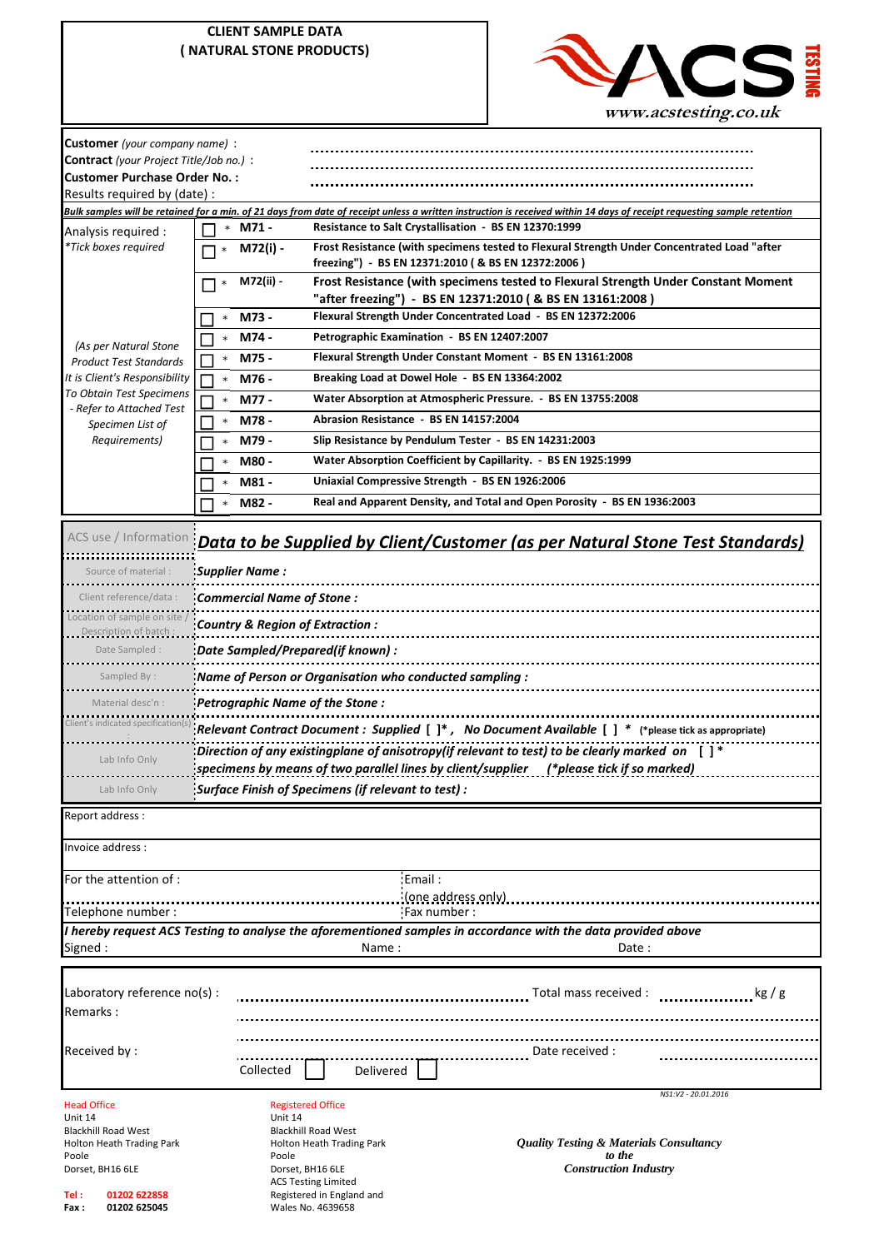|                                                                                                                                                         | <b>CLIENT SAMPLE DATA</b><br>( NATURAL STONE PRODUCTS) |                                                                                                                                                                                                              |                                                                                                                                                                         |  |  |  |  |
|---------------------------------------------------------------------------------------------------------------------------------------------------------|--------------------------------------------------------|--------------------------------------------------------------------------------------------------------------------------------------------------------------------------------------------------------------|-------------------------------------------------------------------------------------------------------------------------------------------------------------------------|--|--|--|--|
|                                                                                                                                                         |                                                        |                                                                                                                                                                                                              |                                                                                                                                                                         |  |  |  |  |
| Customer (your company name) :<br><b>Contract</b> (your Project Title/Job no.) :<br><b>Customer Purchase Order No.:</b><br>Results required by (date) : |                                                        |                                                                                                                                                                                                              |                                                                                                                                                                         |  |  |  |  |
|                                                                                                                                                         |                                                        |                                                                                                                                                                                                              | Bulk samples will be retained for a min. of 21 days from date of receipt unless a written instruction is received within 14 days of receipt requesting sample retention |  |  |  |  |
| Analysis required :<br>*Tick boxes required                                                                                                             | $\star$ M71 -<br>M72(i) -                              | Resistance to Salt Crystallisation - BS EN 12370:1999<br>Frost Resistance (with specimens tested to Flexural Strength Under Concentrated Load "after<br>freezing") - BS EN 12371:2010 ( & BS EN 12372:2006 ) |                                                                                                                                                                         |  |  |  |  |
|                                                                                                                                                         | M72(ii) -                                              | Frost Resistance (with specimens tested to Flexural Strength Under Constant Moment<br>"after freezing") - BS EN 12371:2010 ( & BS EN 13161:2008 )                                                            |                                                                                                                                                                         |  |  |  |  |
|                                                                                                                                                         | M73 -                                                  | Flexural Strength Under Concentrated Load - BS EN 12372:2006                                                                                                                                                 |                                                                                                                                                                         |  |  |  |  |
| (As per Natural Stone                                                                                                                                   | M74 -<br>$\star$                                       | Petrographic Examination - BS EN 12407:2007                                                                                                                                                                  |                                                                                                                                                                         |  |  |  |  |
| <b>Product Test Standards</b>                                                                                                                           | M75 -<br>$\star$                                       | Flexural Strength Under Constant Moment - BS EN 13161:2008                                                                                                                                                   |                                                                                                                                                                         |  |  |  |  |
| It is Client's Responsibility                                                                                                                           | M76 -<br>$\star$                                       | Breaking Load at Dowel Hole - BS EN 13364:2002                                                                                                                                                               |                                                                                                                                                                         |  |  |  |  |
| To Obtain Test Specimens<br>- Refer to Attached Test                                                                                                    | M77 -<br>$\star$                                       | Water Absorption at Atmospheric Pressure. - BS EN 13755:2008                                                                                                                                                 |                                                                                                                                                                         |  |  |  |  |
| Specimen List of                                                                                                                                        | M78 -                                                  | Abrasion Resistance - BS EN 14157:2004                                                                                                                                                                       |                                                                                                                                                                         |  |  |  |  |
| Requirements)                                                                                                                                           | M79 -<br>$\star$                                       |                                                                                                                                                                                                              | Slip Resistance by Pendulum Tester - BS EN 14231:2003                                                                                                                   |  |  |  |  |
|                                                                                                                                                         | M80 -<br>$\star$                                       |                                                                                                                                                                                                              | Water Absorption Coefficient by Capillarity. - BS EN 1925:1999                                                                                                          |  |  |  |  |
|                                                                                                                                                         | M81 -                                                  |                                                                                                                                                                                                              | Uniaxial Compressive Strength - BS EN 1926:2006                                                                                                                         |  |  |  |  |
|                                                                                                                                                         | M82 -<br>$\star$                                       |                                                                                                                                                                                                              | Real and Apparent Density, and Total and Open Porosity - BS EN 1936:2003                                                                                                |  |  |  |  |
| Source of material :                                                                                                                                    | <b>Supplier Name:</b>                                  |                                                                                                                                                                                                              | ACS use / Information <b>Data to be Supplied by Client/Customer (as per Natural Stone Test Standards)</b>                                                               |  |  |  |  |
|                                                                                                                                                         |                                                        |                                                                                                                                                                                                              |                                                                                                                                                                         |  |  |  |  |
| Client reference/data :<br>Location of sample on site                                                                                                   |                                                        | Commercial Name of Stone:                                                                                                                                                                                    |                                                                                                                                                                         |  |  |  |  |
| Description of batch :                                                                                                                                  |                                                        | Country & Region of Extraction :                                                                                                                                                                             |                                                                                                                                                                         |  |  |  |  |
| Date Sampled :                                                                                                                                          | : Date Sampled/Prepared(if known):                     |                                                                                                                                                                                                              |                                                                                                                                                                         |  |  |  |  |
| Sampled By:                                                                                                                                             |                                                        | Name of Person or Organisation who conducted sampling :                                                                                                                                                      |                                                                                                                                                                         |  |  |  |  |
| Material desc'n :                                                                                                                                       | Petrographic Name of the Stone :                       |                                                                                                                                                                                                              |                                                                                                                                                                         |  |  |  |  |
| Client's indicated specification(s)                                                                                                                     |                                                        |                                                                                                                                                                                                              |                                                                                                                                                                         |  |  |  |  |
|                                                                                                                                                         |                                                        |                                                                                                                                                                                                              | Relevant Contract Document : Supplied $[ ]^*$ , No Document Available $[ ]^*$ (*please tick as appropriate)                                                             |  |  |  |  |
| Lab Info Only                                                                                                                                           |                                                        |                                                                                                                                                                                                              | Direction of any existingplane of anisotropy(if relevant to test) to be clearly marked on [ ]*                                                                          |  |  |  |  |
|                                                                                                                                                         |                                                        |                                                                                                                                                                                                              | specimens by means of two parallel lines by client/supplier (*please tick if so marked)                                                                                 |  |  |  |  |
| Lab Info Only                                                                                                                                           |                                                        | Surface Finish of Specimens (if relevant to test) :                                                                                                                                                          |                                                                                                                                                                         |  |  |  |  |
| Report address:                                                                                                                                         |                                                        |                                                                                                                                                                                                              |                                                                                                                                                                         |  |  |  |  |
| Invoice address :                                                                                                                                       |                                                        |                                                                                                                                                                                                              |                                                                                                                                                                         |  |  |  |  |
| For the attention of:                                                                                                                                   |                                                        | Email:                                                                                                                                                                                                       |                                                                                                                                                                         |  |  |  |  |
|                                                                                                                                                         |                                                        |                                                                                                                                                                                                              | (one address only)                                                                                                                                                      |  |  |  |  |
| Telephone number :                                                                                                                                      |                                                        |                                                                                                                                                                                                              | Fax number:<br>I hereby request ACS Testing to analyse the aforementioned samples in accordance with the data provided above                                            |  |  |  |  |
| Signed:                                                                                                                                                 |                                                        | Name:                                                                                                                                                                                                        | Date:                                                                                                                                                                   |  |  |  |  |
|                                                                                                                                                         |                                                        |                                                                                                                                                                                                              |                                                                                                                                                                         |  |  |  |  |
| Laboratory reference no(s) :                                                                                                                            |                                                        |                                                                                                                                                                                                              | Total mass received :<br>$\log$ / g                                                                                                                                     |  |  |  |  |
| Remarks:                                                                                                                                                |                                                        |                                                                                                                                                                                                              |                                                                                                                                                                         |  |  |  |  |
|                                                                                                                                                         |                                                        |                                                                                                                                                                                                              |                                                                                                                                                                         |  |  |  |  |
| Received by:<br>Collected                                                                                                                               |                                                        |                                                                                                                                                                                                              | Date received :                                                                                                                                                         |  |  |  |  |
|                                                                                                                                                         |                                                        | Delivered                                                                                                                                                                                                    |                                                                                                                                                                         |  |  |  |  |
|                                                                                                                                                         |                                                        |                                                                                                                                                                                                              | NS1:V2 - 20.01.2016                                                                                                                                                     |  |  |  |  |
| <b>Head Office</b><br>Unit 14<br>Unit 14                                                                                                                |                                                        | <b>Registered Office</b>                                                                                                                                                                                     |                                                                                                                                                                         |  |  |  |  |
| <b>Blackhill Road West</b>                                                                                                                              |                                                        | <b>Blackhill Road West</b>                                                                                                                                                                                   | <b>Quality Testing &amp; Materials Consultancy</b>                                                                                                                      |  |  |  |  |
| Holton Heath Trading Park<br>Poole<br>Poole                                                                                                             |                                                        | Holton Heath Trading Park                                                                                                                                                                                    | to the                                                                                                                                                                  |  |  |  |  |
| Dorset, BH16 6LE                                                                                                                                        |                                                        | Dorset, BH16 6LE<br><b>ACS Testing Limited</b>                                                                                                                                                               | <b>Construction Industry</b>                                                                                                                                            |  |  |  |  |
| Tel :<br>01202 622858<br>Fax:<br>01202 625045                                                                                                           |                                                        | Registered in England and<br>Wales No. 4639658                                                                                                                                                               | www.acstesting.co.uk                                                                                                                                                    |  |  |  |  |